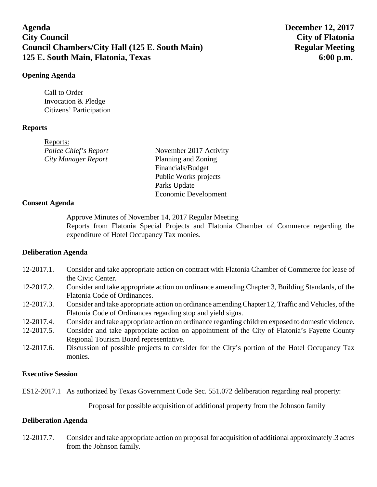# **Agenda December 12, 2017 City Council City of Flatonia Council Chambers/City Hall (125 E. South Main)** Regular Meeting **125 E. South Main, Flatonia, Texas 6:00 p.m.**

### **Opening Agenda**

Call to Order Invocation & Pledge Citizens' Participation

### **Reports**

| Reports:                   |                        |
|----------------------------|------------------------|
| Police Chief's Report      | November 2017 Activity |
| <b>City Manager Report</b> | Planning and Zoning    |
|                            | Financials/Budget      |
|                            | Public Works projects  |
|                            | Parks Update           |
|                            | Economic Development   |

### **Consent Agenda**

Approve Minutes of November 14, 2017 Regular Meeting Reports from Flatonia Special Projects and Flatonia Chamber of Commerce regarding the expenditure of Hotel Occupancy Tax monies.

### **Deliberation Agenda**

- 12-2017.1. Consider and take appropriate action on contract with Flatonia Chamber of Commerce for lease of the Civic Center.
- 12-2017.2. Consider and take appropriate action on ordinance amending Chapter 3, Building Standards, of the Flatonia Code of Ordinances.
- 12-2017.3. Consider and take appropriate action on ordinance amending Chapter 12, Traffic and Vehicles, of the Flatonia Code of Ordinances regarding stop and yield signs.
- 12-2017.4. Consider and take appropriate action on ordinance regarding children exposed to domestic violence.
- 12-2017.5. Consider and take appropriate action on appointment of the City of Flatonia's Fayette County Regional Tourism Board representative.
- 12-2017.6. Discussion of possible projects to consider for the City's portion of the Hotel Occupancy Tax monies.

### **Executive Session**

ES12-2017.1 As authorized by Texas Government Code Sec. 551.072 deliberation regarding real property:

Proposal for possible acquisition of additional property from the Johnson family

### **Deliberation Agenda**

12-2017.7. Consider and take appropriate action on proposal for acquisition of additional approximately .3 acres from the Johnson family.